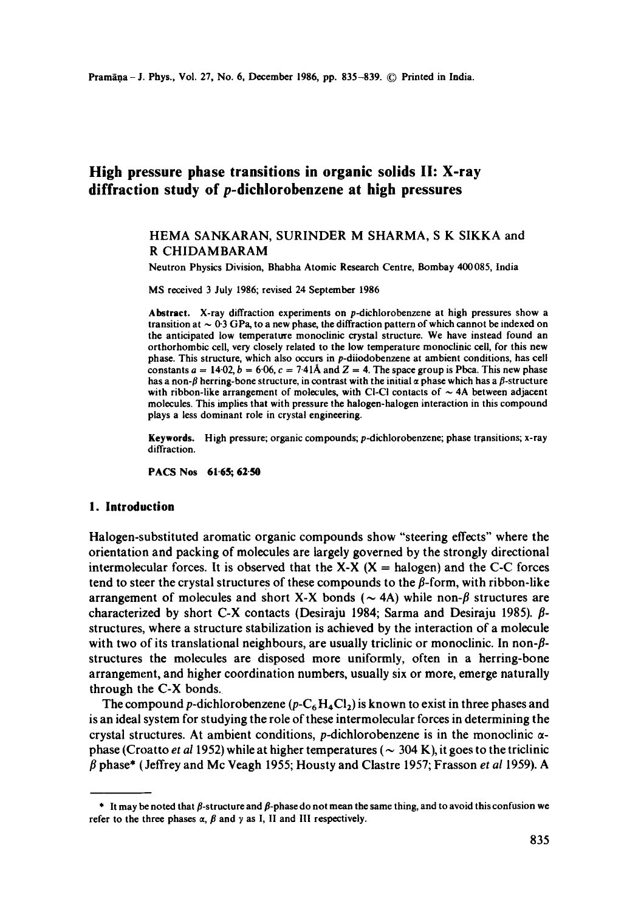# **High pressure phase transitions in organic solids II: X-ray diffraction study of p-dichlorobenzene at high pressures**

## HEMA SANKARAN, SURINDER M SHARMA, S K SIKKA and R CHIDAMBARAM

Neutron Physics Division, Bhabha Atomic Research Centre, Bombay 400085, India

MS received 3 July 1986; revised 24 September 1986

**Abstract.** X-ray diffraction experiments on p-dichlorobenzene at high pressures show a transition at  $\sim 0.3$  GPa, to a new phase, the diffraction pattern of which cannot be indexed on the anticipated low temperature monoclinic crystal structure. We have instead found an orthorhombic cell, very closely related to the low temperature monoclinic ceil, for this new phase. This structure, which also occurs in p-diiodobenzene at ambient conditions, has cell constants  $a = 14.02$ ,  $b = 6.06$ ,  $c = 7.41$ Å and  $Z = 4$ . The space group is Pbca. This new phase has a non- $\beta$  herring-bone structure, in contrast with the initial  $\alpha$  phase which has a  $\beta$ -structure with ribbon-like arrangement of molecules, with Cl-Cl contacts of  $\sim$  4A between adjacent molecules. This implies that with pressure the halogen-halogen interaction in this compound plays a less dominant role in crystal engineering.

**Keywords.** High pressure; organic compounds; p-dichlorobenzene; phase transitions; x-ray diffraction.

PACS Nos 61'65; 62-50

### **1. Introduction**

Halogen-substituted aromatic organic compounds show "steering effects" where the orientation and packing of molecules are largely governed by the strongly directional intermolecular forces. It is observed that the  $X-X$  ( $X =$  halogen) and the C-C forces tend to steer the crystal structures of these compounds to the  $\beta$ -form, with ribbon-like arrangement of molecules and short X-X bonds ( $\sim$  4A) while non- $\beta$  structures are characterized by short C-X contacts (Desiraju 1984; Sarma and Desiraju 1985).  $\beta$ structures, where a structure stabilization is achieved by the interaction of a molecule with two of its translational neighbours, are usually triclinic or monoclinic. In non- $\beta$ structures the molecules are disposed more uniformly, often in a herring-bone arrangement, and higher coordination numbers, usually six or more, emerge naturally through the C-X bonds.

The compound p-dichlorobenzene ( $p - C_6 H_4Cl_2$ ) is known to exist in three phases and is an ideal system for studying the role of these intermolecular forces in determining the crystal structures. At ambient conditions, p-dichlorobenzene is in the monoclinic  $\alpha$ phase (Croatto *et al* 1952) while at higher temperatures ( $\sim$  304 K), it goes to the triclinic  $\beta$  phase\* (Jeffrey and Mc Veagh 1955; Housty and Clastre 1957; Frasson *et al* 1959). A

 $*$  It may be noted that  $\beta$ -structure and  $\beta$ -phase do not mean the same thing, and to avoid this confusion we refer to the three phases  $\alpha$ ,  $\beta$  and  $\gamma$  as I, II and III respectively.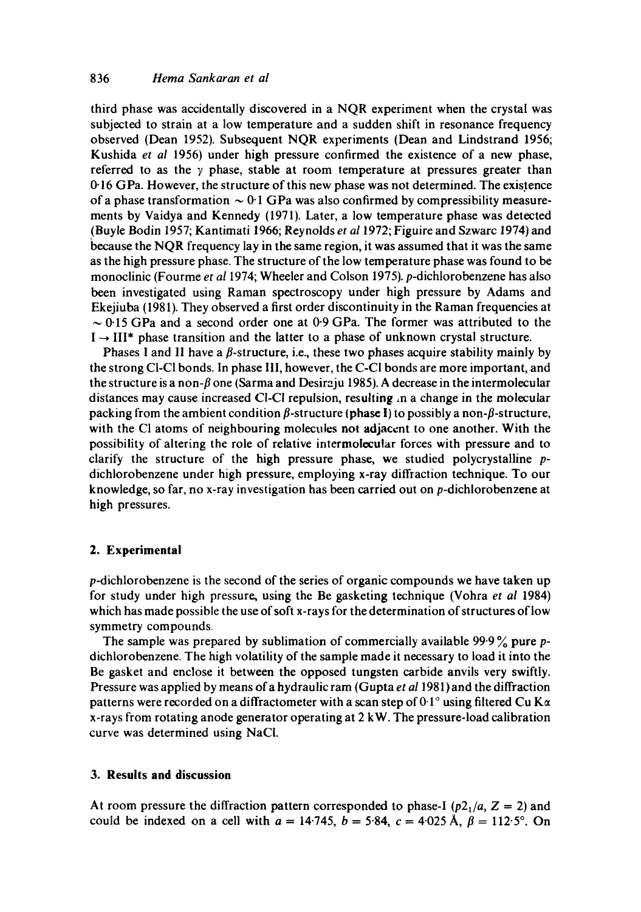third phase was accidentally discovered in a NQR experiment when the crystal was subjected to strain at a low temperature and a sudden shift in resonance frequency observed (Dean 1952). Subsequent NQR experiments (Dean and Lindstrand 1956; Kushida *et al* 1956) under high pressure confirmed the existence of a new phase, referred to as the  $\gamma$  phase, stable at room temperature at pressures greater than 0-16 GPa. However, the structure of this new phase was not determined. The existence of a phase transformation  $\sim 0.1$  GPa was also confirmed by compressibility measurements by Vaidya and Kennedy (1971). Later, a low temperature phase was detected (Buyle Bodin 1957; Kantimati 1966; Reynolds *et at* 1972; Figuire and Szwarc 1974) and because the NQR frequency lay in the same region, it was assumed that it was the same as the high pressure phase. The structure of the low temperature phase was found to be monoclinic (Fourme *et a11974;* Wheeler and Colson 1975). p-dichlorobenzene has also been investigated using Raman spectroscopy under high pressure by Adams and Ekejiuba (1981). They observed a first order discontinuity in the Raman frequencies at  $\sim$  0.15 GPa and a second order one at 0.9 GPa. The former was attributed to the  $I \rightarrow III^*$  phase transition and the latter to a phase of unknown crystal structure.

Phases 1 and II have a  $\beta$ -structure, i.e., these two phases acquire stability mainly by the strong CI-CI bonds. In phase I11, however, the C-CI bonds are more important, and the structure is a non- $\beta$  one (Sarma and Desiraju 1985). A decrease in the intermolecular distances may cause increased CI-CI repulsion, resulting :n a change in the molecular packing from the ambient condition  $\beta$ -structure (phase I) to possibly a non- $\beta$ -structure, with the CI atoms of neighbouring molecules not adjacent to one another. With the possibility of altering the role of relative intermolecular forces with pressure and to clarify the structure of the high pressure phase, we studied polycrystalline pdichlorobenzene under high pressure, employing x-ray diffraction technique. To our knowledge, so far, no x-ray investigation has been carried out on p-dichlorobenzene at high pressures.

#### **2. Experimental**

p-dichlorobenzene is the second of the series of organic compounds we have taken up for study under high pressure, using the Be gasketing technique (Vohra *et al* 1984) which has made possible the use of soft x-rays for the determination of structures of low symmetry compounds

The sample was prepared by sublimation of commercially available 99.9% pure pdichlorobenzene. The high volatility of the sample made it necessary to load it into the Be gasket and enclose it between the opposed tungsten carbide anvils very swiftly. Pressure was applied by means of a hydraulic ram (Gupta *et a11981)* and the diffraction patterns were recorded on a diffractometer with a scan step of  $0.1^\circ$  using filtered Cu K $\alpha$ x-rays from rotating anode generator operating at 2 kW. The pressure-load calibration curve was determined using NaCI.

#### **3. Results and discussion**

At room pressure the diffraction pattern corresponded to phase-I  $(p2_1/a, Z = 2)$  and could be indexed on a cell with  $a = 14.745$ ,  $b = 5.84$ ,  $c = 4.025$  Å,  $\beta = 112.5^{\circ}$ . On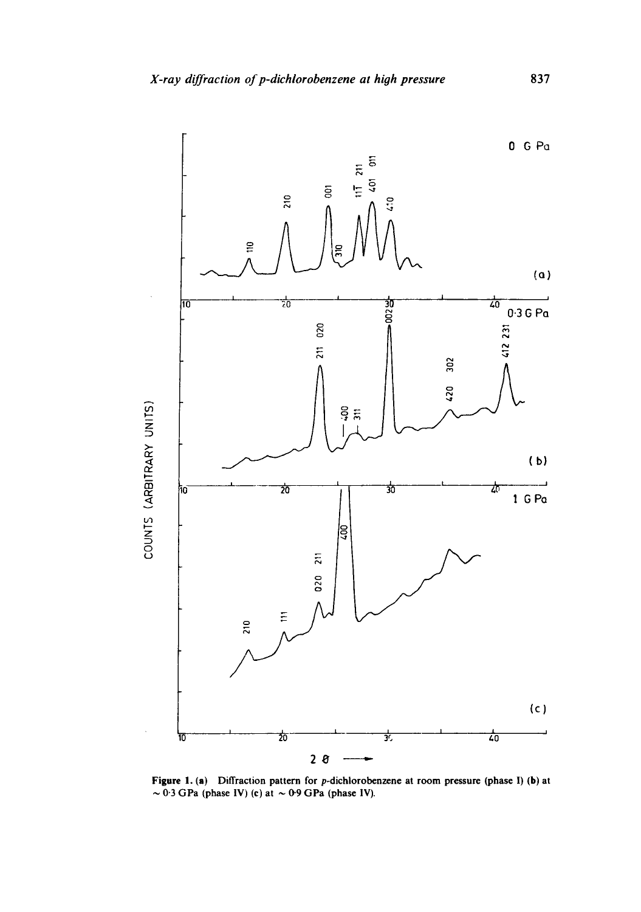

Figure 1. (a) Diffraction pattern for p-dichlorobenzene at room pressure (phase I) (b) at  $\sim$  0.3 GPa (phase IV) (c) at  $\sim$  0.9 GPa (phase IV).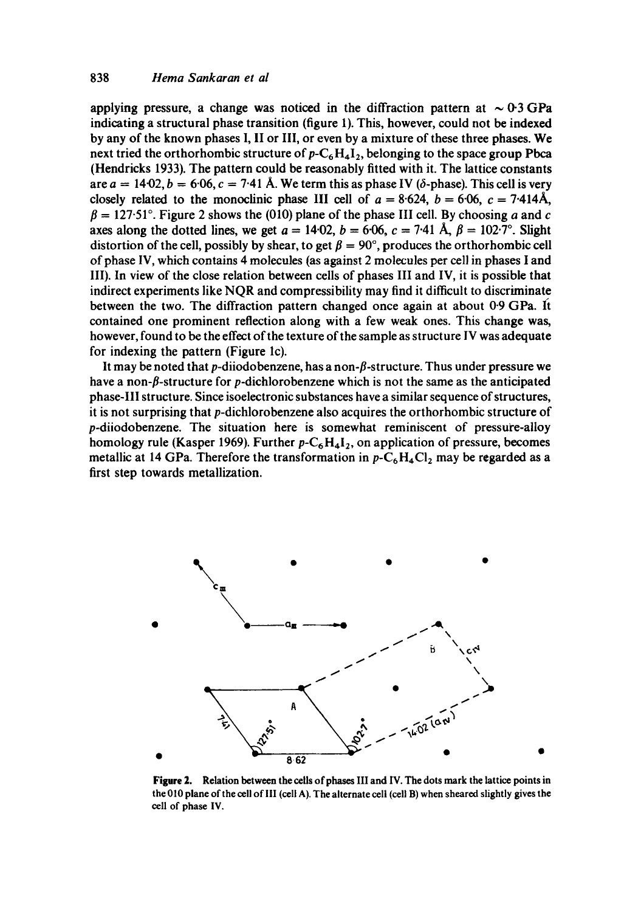applying pressure, a change was noticed in the diffraction pattern at  $\sim 0.3 \text{ GPa}$ indicating a structural phase transition (figure 1). This, however, could not be indexed by any of the known phases 1, lI or Ill, or even by a mixture of these three phases. We next tried the orthorhombic structure of  $p - C_6 H_4 I_2$ , belonging to the space group Pbca (Hendricks 1933). The pattern could be reasonably fitted with it. The lattice constants are  $a = 14{\cdot}02$ ,  $b = 6{\cdot}06$ ,  $c = 7{\cdot}41$  Å. We term this as phase IV ( $\delta$ -phase). This cell is very closely related to the monoclinic phase III cell of  $a = 8.624$ ,  $b = 6.06$ ,  $c = 7.414$ Å,  $\beta = 127.51$ °. Figure 2 shows the (010) plane of the phase III cell. By choosing a and c axes along the dotted lines, we get  $a = 14.02$ ,  $b = 6.06$ ,  $c = 7.41$  Å,  $\beta = 102.7^{\circ}$ . Slight distortion of the cell, possibly by shear, to get  $\beta = 90^{\circ}$ , produces the orthorhombic cell of phase IV, which contains 4 molecules (as against 2 molecules per cell in phases I and llI). In view of the close relation between cells of phases III and IV, it is possible that indirect experiments like NQR and compressibility may find it difficult to discriminate between the two. The diffraction pattern changed once again at about 0.9 GPa. It contained one prominent reflection along with a few weak ones. This change was, however, found to be the effect of the texture of the sample as structure IV was adequate for indexing the pattern (Figure lc).

It may be noted that p-diiodobenzene, has a non- $\beta$ -structure. Thus under pressure we have a non- $\beta$ -structure for p-dichlorobenzene which is not the same as the anticipated phase-Ill structure. Since isoelectronic substances have a similar sequence of structures, it is not surprising that p-dichlorobenzene also acquires the orthorhombic structure of p-diiodobenzene. The situation here is somewhat reminiscent of pressure-alloy homology rule (Kasper 1969). Further  $p - C_6H_4I_2$ , on application of pressure, becomes metallic at 14 GPa. Therefore the transformation in  $p - C_6H_4Cl_2$  may be regarded as a first step towards metallization.



**Figure** 2. Relation between the cells of phases III and IV. The dots mark the lattice points in the 010 plane of the cell of llI (cell A). The alternate cell (cell B) when sheared slightly gives the cell of phase IV.